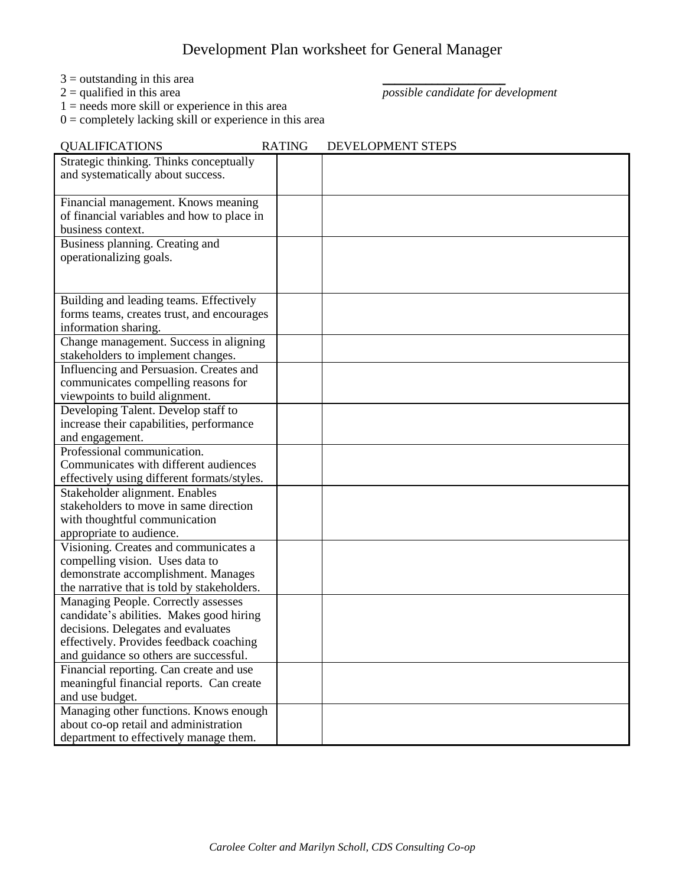## Development Plan worksheet for General Manager

- $3 =$  outstanding in this area  $2 =$  qualified in this area
- 

 $\overline{possible}$  candidate for development

 $1 =$  needs more skill or experience in this area  $0 =$  completely lacking skill or experience in this area

| <b>QUALIFICATIONS</b>                                                                | <b>RATING</b> | DEVELOPMENT STEPS |
|--------------------------------------------------------------------------------------|---------------|-------------------|
| Strategic thinking. Thinks conceptually<br>and systematically about success.         |               |                   |
|                                                                                      |               |                   |
| Financial management. Knows meaning                                                  |               |                   |
| of financial variables and how to place in                                           |               |                   |
| business context.<br>Business planning. Creating and                                 |               |                   |
| operationalizing goals.                                                              |               |                   |
|                                                                                      |               |                   |
|                                                                                      |               |                   |
| Building and leading teams. Effectively                                              |               |                   |
| forms teams, creates trust, and encourages                                           |               |                   |
| information sharing.                                                                 |               |                   |
| Change management. Success in aligning<br>stakeholders to implement changes.         |               |                   |
| Influencing and Persuasion. Creates and                                              |               |                   |
| communicates compelling reasons for                                                  |               |                   |
| viewpoints to build alignment.                                                       |               |                   |
| Developing Talent. Develop staff to                                                  |               |                   |
| increase their capabilities, performance                                             |               |                   |
| and engagement.                                                                      |               |                   |
| Professional communication.                                                          |               |                   |
| Communicates with different audiences<br>effectively using different formats/styles. |               |                   |
| Stakeholder alignment. Enables                                                       |               |                   |
| stakeholders to move in same direction                                               |               |                   |
| with thoughtful communication                                                        |               |                   |
| appropriate to audience.                                                             |               |                   |
| Visioning. Creates and communicates a                                                |               |                   |
| compelling vision. Uses data to                                                      |               |                   |
| demonstrate accomplishment. Manages                                                  |               |                   |
| the narrative that is told by stakeholders.<br>Managing People. Correctly assesses   |               |                   |
| candidate's abilities. Makes good hiring                                             |               |                   |
| decisions. Delegates and evaluates                                                   |               |                   |
| effectively. Provides feedback coaching                                              |               |                   |
| and guidance so others are successful.                                               |               |                   |
| Financial reporting. Can create and use                                              |               |                   |
| meaningful financial reports. Can create                                             |               |                   |
| and use budget.                                                                      |               |                   |
| Managing other functions. Knows enough                                               |               |                   |
| about co-op retail and administration<br>department to effectively manage them.      |               |                   |
|                                                                                      |               |                   |